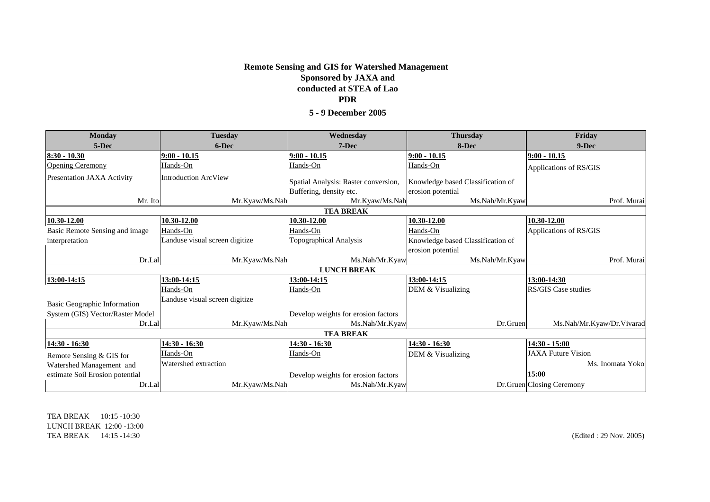## **Sponsored by JAXA and conducted at STEA of Lao PDR5 - 9 December 2005Remote Sensing and GIS for Watershed Management**

| <b>Monday</b>                    | <b>Tuesday</b>                 | Wednesday                            | <b>Thursday</b>                   | Friday                    |
|----------------------------------|--------------------------------|--------------------------------------|-----------------------------------|---------------------------|
| 5-Dec                            | 6-Dec                          | 7-Dec                                | 8-Dec                             | 9-Dec                     |
| $8:30 - 10.30$                   | $9:00 - 10.15$                 | $9:00 - 10.15$                       | $9:00 - 10.15$                    | $9:00 - 10.15$            |
| <b>Opening Ceremony</b>          | Hands-On                       | Hands-On                             | Hands-On                          | Applications of RS/GIS    |
| Presentation JAXA Activity       | <b>Introduction ArcView</b>    | Spatial Analysis: Raster conversion, | Knowledge based Classification of |                           |
|                                  |                                | Buffering, density etc.              | erosion potential                 |                           |
| Mr. Ito                          | Mr.Kyaw/Ms.Nah                 | Mr.Kyaw/Ms.Nah                       | Ms.Nah/Mr.Kyaw                    | Prof. Murai               |
| <b>TEA BREAK</b>                 |                                |                                      |                                   |                           |
| 10.30-12.00                      | 10.30-12.00                    | 10.30-12.00                          | 10.30-12.00                       | 10.30-12.00               |
| Basic Remote Sensing and image   | Hands-On                       | Hands-On                             | Hands-On                          | Applications of RS/GIS    |
| interpretation                   | Landuse visual screen digitize | Topographical Analysis               | Knowledge based Classification of |                           |
|                                  |                                |                                      | erosion potential                 |                           |
| Dr.Lal                           | Mr.Kyaw/Ms.Nah                 | Ms.Nah/Mr.Kyaw                       | Ms.Nah/Mr.Kyaw                    | Prof. Murai               |
| <b>LUNCH BREAK</b>               |                                |                                      |                                   |                           |
| 13:00-14:15                      | 13:00-14:15                    | <u>13:00-14:15</u>                   | 13:00-14:15                       | 13:00-14:30               |
|                                  | Hands-On                       | Hands-On                             | DEM & Visualizing                 | RS/GIS Case studies       |
| Basic Geographic Information     | Landuse visual screen digitize |                                      |                                   |                           |
| System (GIS) Vector/Raster Model |                                | Develop weights for erosion factors  |                                   |                           |
| Dr.Lal                           | Mr.Kyaw/Ms.Nah                 | Ms.Nah/Mr.Kyaw                       | Dr.Gruen                          | Ms.Nah/Mr.Kyaw/Dr.Vivarad |
| <b>TEA BREAK</b>                 |                                |                                      |                                   |                           |
| 14:30 - 16:30                    | 14:30 - 16:30                  | 14:30 - 16:30                        | 14:30 - 16:30                     | $14:30 - 15:00$           |
| Remote Sensing & GIS for         | Hands-On                       | Hands-On                             | DEM & Visualizing                 | <b>JAXA Future Vision</b> |
| Watershed Management and         | Watershed extraction           |                                      |                                   | Ms. Inomata Yoko          |
| estimate Soil Erosion potential  |                                | Develop weights for erosion factors  |                                   | 15:00                     |
| Dr.Lal                           | Mr.Kyaw/Ms.Nah                 | Ms.Nah/Mr.Kyaw                       |                                   | Dr.Gruen Closing Ceremony |

TEA BREAK 10:15 -10:30LUNCH BREAK 12:00 -13:00 TEA BREAK 14:15 -14:30

(Edited : 29 Nov. 2005)